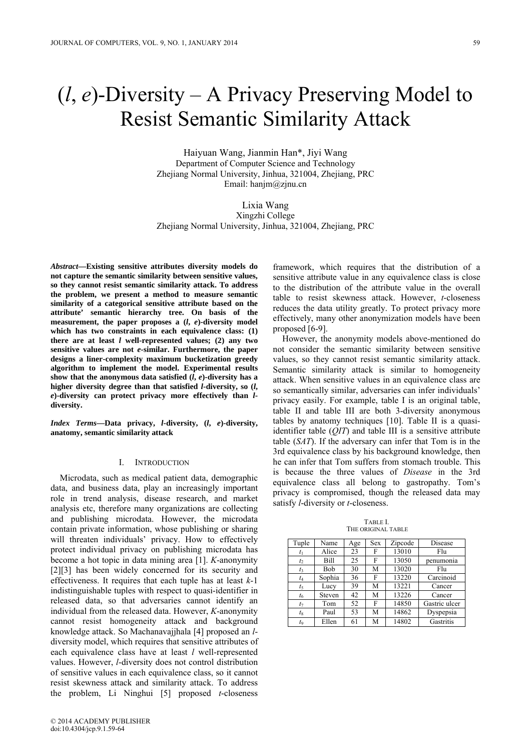# (*l*, *e*)-Diversity – A Privacy Preserving Model to Resist Semantic Similarity Attack

Haiyuan Wang, Jianmin Han\*, Jiyi Wang Department of Computer Science and Technology Zhejiang Normal University, Jinhua, 321004, Zhejiang, PRC Email: hanjm@zjnu.cn

Lixia Wang Xingzhi College Zhejiang Normal University, Jinhua, 321004, Zhejiang, PRC

*Abstract***—Existing sensitive attributes diversity models do not capture the semantic similarity between sensitive values, so they cannot resist semantic similarity attack. To address the problem, we present a method to measure semantic similarity of a categorical sensitive attribute based on the attribute' semantic hierarchy tree. On basis of the measurement, the paper proposes a (***l***,** *e***)-diversity model which has two constraints in each equivalence class: (1) there are at least** *l* **well-represented values; (2) any two sensitive values are not** *e***-similar. Furthermore, the paper designs a liner-complexity maximum bucketization greedy algorithm to implement the model. Experimental results**  show that the anonymous data satisfied  $(l, e)$ -diversity has a **higher diversity degree than that satisfied** *l***-diversity, so (***l***,**  *e***)-diversity can protect privacy more effectively than** *l***diversity.** 

*Index Terms***—Data privacy,** *l***-diversity, (***l***,** *e***)-diversity, anatomy, semantic similarity attack** 

## I. INTRODUCTION

Microdata, such as medical patient data, demographic data, and business data, play an increasingly important role in trend analysis, disease research, and market analysis etc, therefore many organizations are collecting and publishing microdata. However, the microdata contain private information, whose publishing or sharing will threaten individuals' privacy. How to effectively protect individual privacy on publishing microdata has become a hot topic in data mining area [1]. *K*-anonymity [2][3] has been widely concerned for its security and effectiveness. It requires that each tuple has at least *k*-1 indistinguishable tuples with respect to quasi-identifier in released data, so that adversaries cannot identify an individual from the released data. However, *K*-anonymity cannot resist homogeneity attack and background knowledge attack. So Machanavajjhala [4] proposed an *l*diversity model, which requires that sensitive attributes of each equivalence class have at least *l* well-represented values. However, *l*-diversity does not control distribution of sensitive values in each equivalence class, so it cannot resist skewness attack and similarity attack. To address the problem, Li Ninghui [5] proposed *t*-closeness

© 2014 ACADEMY PUBLISHER doi:10.4304/jcp.9.1.59-64

framework, which requires that the distribution of a sensitive attribute value in any equivalence class is close to the distribution of the attribute value in the overall table to resist skewness attack. However, *t*-closeness reduces the data utility greatly. To protect privacy more effectively, many other anonymization models have been proposed [6-9].

However, the anonymity models above-mentioned do not consider the semantic similarity between sensitive values, so they cannot resist semantic similarity attack. Semantic similarity attack is similar to homogeneity attack. When sensitive values in an equivalence class are so semantically similar, adversaries can infer individuals' privacy easily. For example, table I is an original table, table II and table III are both 3-diversity anonymous tables by anatomy techniques [10]. Table II is a quasiidentifier table (*QIT*) and table III is a sensitive attribute table (*SAT*). If the adversary can infer that Tom is in the 3rd equivalence class by his background knowledge, then he can infer that Tom suffers from stomach trouble. This is because the three values of *Disease* in the 3rd equivalence class all belong to gastropathy. Tom's privacy is compromised, though the released data may satisfy *l*-diversity or *t*-closeness.

TABLE I. THE ORIGINAL TABLE

| Tuple   | Name   | Age | <b>Sex</b> | Zipcode | Disease       |
|---------|--------|-----|------------|---------|---------------|
| $t_{1}$ | Alice  | 23  | F          | 13010   | Flu           |
| $t_2$   | Bill   | 25  | F          | 13050   | penumonia     |
| $t_3$   | Bob    | 30  | M          | 13020   | Flu           |
| t4      | Sophia | 36  | F          | 13220   | Carcinoid     |
| t,      | Lucy   | 39  | M          | 13221   | Cancer        |
| $t_6$   | Steven | 42  | М          | 13226   | Cancer        |
| tэ      | Tom    | 52  | F          | 14850   | Gastric ulcer |
| $t_8$   | Paul   | 53  | M          | 14862   | Dyspepsia     |
| to      | Ellen  | 61  | М          | 14802   | Gastritis     |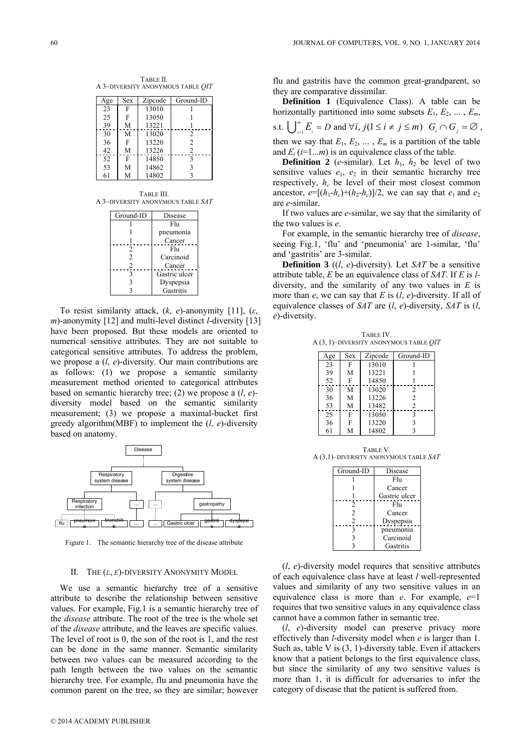TABLE II. A 3–DIVERSITY ANONYMOUS TABLE *QIT*

| Age | Sex | Zipcode | Ground-ID      |
|-----|-----|---------|----------------|
| 23  | F   | 13010   |                |
| 25  | F   | 13050   |                |
| 39  | M   | 13221   |                |
| 30  | M   | 13020   | 2              |
| 36  | F   | 13220   | $\overline{c}$ |
| 42  | M   | 13226   | $\overline{c}$ |
| 52  | F   | 14850   | $\mathbf{3}$   |
| 53  | M   | 14862   | 3              |
| 61  | M   | 14802   |                |
|     |     |         |                |

TABLE III. A 3–DIVERSITY ANONYMOUS TABLE *SAT*

| Ground-ID      | Disease       |
|----------------|---------------|
|                | Flu           |
|                | pneumonia     |
|                | Cancer        |
| $\mathfrak{D}$ | Fhi           |
| $\mathfrak{D}$ | Carcinoid     |
| 2              | Cancer        |
| 3              | Gastric ulcer |
| 3              | Dyspepsia     |
| ٦              | Gastritis     |

To resist similarity attack, (*k*, *e*)-anonymity [11], (*ε*, *m*)-anonymity [12] and multi-level distinct *l*-diversity [13] have been proposed. But these models are oriented to numerical sensitive attributes. They are not suitable to categorical sensitive attributes. To address the problem, we propose a (*l*, *e*)-diversity. Our main contributions are as follows: (1) we propose a semantic similarity measurement method oriented to categorical attributes based on semantic hierarchy tree; (2) we propose a (*l*, *e*) diversity model based on the semantic similarity measurement; (3) we propose a maximal-bucket first greedy algorithm(MBF) to implement the (*l*, *e*)-diversity based on anatomy.



Figure 1. The semantic hierarchy tree of the disease attribute

## II. THE (*L*, *E*)-DIVERSITY ANONYMITY MODEL

We use a semantic hierarchy tree of a sensitive attribute to describe the relationship between sensitive values. For example, Fig.1 is a semantic hierarchy tree of the *disease* attribute. The root of the tree is the whole set of the *disease* attribute, and the leaves are specific values. The level of root is 0, the son of the root is 1, and the rest can be done in the same manner. Semantic similarity between two values can be measured according to the path length between the two values on the semantic hierarchy tree. For example, flu and pneumonia have the common parent on the tree, so they are similar; however

flu and gastritis have the common great-grandparent, so they are comparative dissimilar.

**Definition 1** (Equivalence Class). A table can be horizontally partitioned into some subsets  $E_1, E_2, \ldots, E_m$ , s.t.  $\bigcup_{i=1}^{m} E_i = D$  and  $\forall i, j (1 \leq i \neq j \leq m)$   $G_i \cap G_j = \emptyset$ , then we say that  $E_1, E_2, \ldots, E_m$  is a partition of the table and  $E_i$  ( $i=1...m$ ) is an equivalence class of the table.

**Definition 2** (*e*-similar). Let  $h_1$ ,  $h_2$  be level of two sensitive values  $e_1$ ,  $e_2$  in their semantic hierarchy tree respectively,  $h_c$  be level of their most closest common ancestor,  $e=[(h_1-h_c)+(h_2-h_c)]/2$ , we can say that  $e_1$  and  $e_2$ are *e*-similar.

If two values are *e*-similar, we say that the similarity of the two values is *e*.

For example, in the semantic hierarchy tree of *disease*, seeing Fig.1, 'flu' and 'pneumonia' are 1-similar, 'flu' and 'gastritis' are 3-similar.

**Definition 3** ((*l*, *e*)-diversity). Let *SAT* be a sensitive attribute table, *E* be an equivalence class of *SAT*. If *E* is *l*diversity, and the similarity of any two values in *E* is more than *e*, we can say that *E* is (*l*, *e*)-diversity. If all of equivalence classes of *SAT* are (*l*, *e*)-diversity, *SAT* is (*l*, *e*)-diversity.

TABLE IV. A (3, 1)–DIVERSITY ANONYMOUS TABLE *QIT*

| Age | Sex | Zipcode | Ground-ID      |
|-----|-----|---------|----------------|
| 23  | F   | 13010   |                |
| 39  | M   | 13221   |                |
| 52  | F   | 14850   |                |
| 30  | M   | 13020   | $\overline{c}$ |
| 36  | М   | 13226   | $\overline{2}$ |
| 53  | M   | 13482   | $\mathfrak{D}$ |
| 25  | F   | 13050   | 3              |
| 36  | F   | 13220   | 3              |
| 61  | М   | 14802   | 3              |

TABLE V. A (3,1)–DIVERSITY ANONYMOUS TABLE *SAT*

| Ground-ID      | Disease       |
|----------------|---------------|
|                | Fhi           |
|                | Cancer        |
|                | Gastric ulcer |
| $\mathfrak{D}$ | Fhi           |
| 2              | Cancer        |
| $\overline{c}$ | Dyspepsia     |
| ٩              | pneumonia     |
| 3              | Carcinoid     |
|                | Gastritis     |

(*l*, *e*)-diversity model requires that sensitive attributes of each equivalence class have at least *l* well-represented values and similarity of any two sensitive values in an equivalence class is more than *e*. For example, *e*=1 requires that two sensitive values in any equivalence class cannot have a common father in semantic tree.

(*l*, *e*)-diversity model can preserve privacy more effectively than *l*-diversity model when *e* is larger than 1. Such as, table V is (3, 1)-diversity table. Even if attackers know that a patient belongs to the first equivalence class, but since the similarity of any two sensitive values is more than 1, it is difficult for adversaries to infer the category of disease that the patient is suffered from.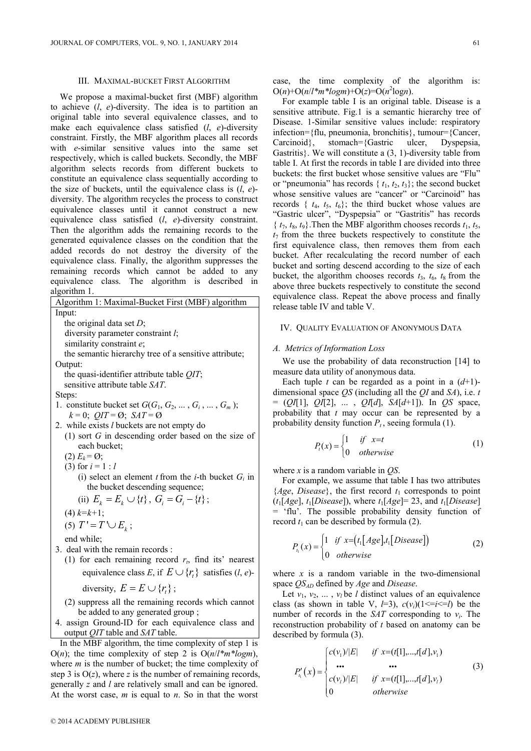#### III. MAXIMAL-BUCKET FIRST ALGORITHM

We propose a maximal-bucket first (MBF) algorithm to achieve (*l*, *e*)-diversity. The idea is to partition an original table into several equivalence classes, and to make each equivalence class satisfied (*l*, *e*)-diversity constraint. Firstly, the MBF algorithm places all records with *e*-similar sensitive values into the same set respectively, which is called buckets. Secondly, the MBF algorithm selects records from different buckets to constitute an equivalence class sequentially according to the size of buckets, until the equivalence class is (*l*, *e*) diversity. The algorithm recycles the process to construct equivalence classes until it cannot construct a new equivalence class satisfied (*l*, *e*)-diversity constraint. Then the algorithm adds the remaining records to the generated equivalence classes on the condition that the added records do not destroy the diversity of the equivalence class. Finally, the algorithm suppresses the remaining records which cannot be added to any equivalence class. The algorithm is described in algorithm 1.

Algorithm 1: Maximal-Bucker First (MBF) algorithm  
\nInput:  
\nthe original data set *D*;  
\ndiversity parameter constraint *l*;  
\nsimilarity constraint *e*;  
\nthe semantic hierarchy tree of a sensitive attribute;  
\nOutput:  
\nthe quasi-identified attribute table *QIT*;  
\nsensitive attribute table *SAT*.  
\nSteps:  
\n1. constitute bucket set 
$$
G(G_1, G_2, ..., G_i, ..., G_m)
$$
;  
\n $k = 0$ ;  $QIT = \emptyset$ ; *SAT = \emptyset*  
\n2. while exists *l* buckets are not empty do  
\n(1) sort *G* in descending order based on the size of  
\neach bucket;  
\n(2)  $E_k = \emptyset$ ;  
\n(3) for  $i = 1 : l$   
\n(i) select an element *t* from the *i*-th bucket  $G_i$  in  
\nthe bucket descending sequence;  
\n(ii)  $F_i = F_{i+1} f_i \quad G_i = G_{i+1}$ .

(ii) 
$$
E_k = E_k \cup \{t\}, G_i = G_i - \{t\};
$$
  
(4)  $k=k+1$ ;

$$
(5) T' = T' \cup E_k ;
$$

end while;

- 3. deal with the remain records :
	- (1) for each remaining record  $r<sub>t</sub>$ , find its' nearest equivalence class *E*, if  $E \cup \{r\}$  satisfies (*l*, *e*)
		- diversity,  $E = E \cup \{r_i\}$ ;
	- (2) suppress all the remaining records which cannot be added to any generated group ;
- 4. assign Ground-ID for each equivalence class and output *QIT* table and *SAT* table.

In the MBF algorithm, the time complexity of step 1 is O(*n*); the time complexity of step 2 is  $O(n/l*m*logm)$ , where *m* is the number of bucket; the time complexity of step 3 is  $O(z)$ , where *z* is the number of remaining records, generally *z* and *l* are relatively small and can be ignored. At the worst case, *m* is equal to *n*. So in that the worst

case, the time complexity of the algorithm is:  $O(n) + O(n/l * m * log m) + O(z) = O(n^2 log n)$ .

For example table I is an original table. Disease is a sensitive attribute. Fig.1 is a semantic hierarchy tree of Disease. 1-Similar sensitive values include: respiratory infection={flu, pneumonia, bronchitis}, tumour={Cancer, Carcinoid}, stomach={Gastric ulcer, Dyspepsia, Gastritis}. We will constitute a (3, 1)-diversity table from table I. At first the records in table I are divided into three buckets: the first bucket whose sensitive values are "Flu" or "pneumonia" has records  $\{t_1, t_2, t_3\}$ ; the second bucket whose sensitive values are "cancer" or "Carcinoid" has records  $\{t_4, t_5, t_6\}$ ; the third bucket whose values are "Gastric ulcer", "Dyspepsia" or "Gastritis" has records  $\{t_7, t_8, t_9\}$ . Then the MBF algorithm chooses records  $t_1, t_5$ ,  $t_7$  from the three buckets respectively to constitute the first equivalence class, then removes them from each bucket. After recalculating the record number of each bucket and sorting descend according to the size of each bucket, the algorithm chooses records  $t_3$ ,  $t_6$ ,  $t_8$  from the above three buckets respectively to constitute the second equivalence class. Repeat the above process and finally release table IV and table V.

# IV. QUALITY EVALUATION OF ANONYMOUS DATA

# *A. Metrics of Information Loss*

We use the probability of data reconstruction [14] to measure data utility of anonymous data.

Each tuple *t* can be regarded as a point in a  $(d+1)$ dimensional space *QS* (including all the *QI* and *SA*), i.e. *t* = (*QI*[1], *QI*[2], ... , *QI*[*d*], *SA*[*d*+1]). In *QS* space, probability that *t* may occur can be represented by a probability density function  $P_t$ , seeing formula (1).

$$
P_t(x) = \begin{cases} 1 & \text{if } x = t \\ 0 & \text{otherwise} \end{cases}
$$
 (1)

where *x* is a random variable in *QS*.

For example, we assume that table I has two attributes  ${Age, Disease}$ , the first record  $t_1$  corresponds to point  $(t_1[Age], t_1[Disease]),$  where  $t_1[Age]=23$ , and  $t_1[Disease]$ = 'flu'. The possible probability density function of record  $t_1$  can be described by formula (2).

$$
P_{t_1}(x) = \begin{cases} 1 & \text{if } x = (t_1[Age], t_1[Disease]) \\ 0 & \text{otherwise} \end{cases}
$$
 (2)

where  $x$  is a random variable in the two-dimensional space *QSAD* defined by *Age* and *Disease*.

Let  $v_1, v_2, \ldots, v_l$  be *l* distinct values of an equivalence class (as shown in table V,  $l=3$ ),  $c(v_i)(1\leq i\leq l)$  be the number of records in the *SAT* corresponding to  $v_i$ . The reconstruction probability of *t* based on anatomy can be described by formula (3).

$$
P'_{t_1}(x) = \begin{cases} c(\nu_1)/|E| & \text{if } x = (t[1],...,t[d],\nu_1) \\ \cdots & \cdots \\ c(\nu_r)/|E| & \text{if } x = (t[1],...,t[d],\nu_1) \\ 0 & \text{otherwise} \end{cases}
$$
(3)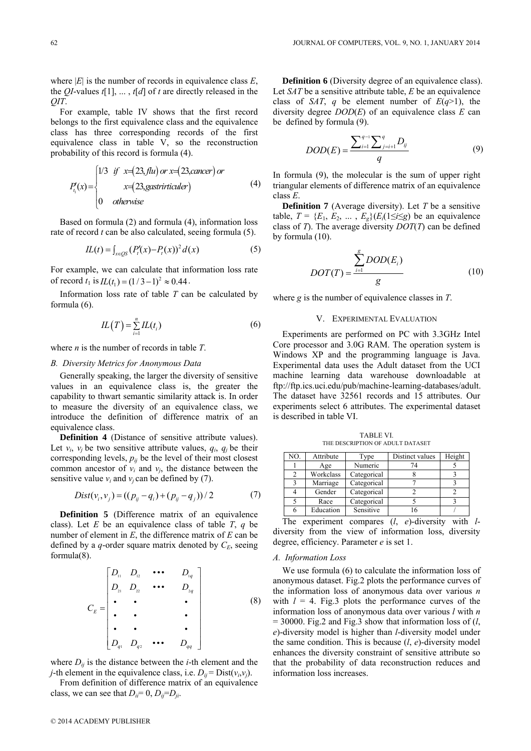where  $|E|$  is the number of records in equivalence class  $E$ , the *QI*-values *t*[1], ... , *t*[*d*] of *t* are directly released in the *QIT*.

For example, table IV shows that the first record belongs to the first equivalence class and the equivalence class has three corresponding records of the first equivalence class in table V, so the reconstruction probability of this record is formula (4).

$$
P_{t_1}(x) = \begin{cases} 1/3 & \text{if } x=(23, \text{flu}) \text{ or } x=(23, \text{cancer}) \text{ or} \\ & x=(23, \text{gastrirticuler}) \\ 0 & \text{otherwise} \end{cases}
$$
 (4)

Based on formula (2) and formula (4), information loss rate of record *t* can be also calculated, seeing formula (5).

$$
IL(t) = \int_{x \in \mathcal{Q}S} (P_t'(x) - P_t(x))^2 d(x)
$$
 (5)

For example, we can calculate that information loss rate of record  $t_1$  is  $IL(t_1) = (1/3 - 1)^2 \approx 0.44$ .

Information loss rate of table *T* can be calculated by formula (6).

$$
IL(T) = \sum_{i=1}^{n} IL(t_i)
$$
\n(6)

where *n* is the number of records in table *T*.

## *B. Diversity Metrics for Anonymous Data*

Generally speaking, the larger the diversity of sensitive values in an equivalence class is, the greater the capability to thwart semantic similarity attack is. In order to measure the diversity of an equivalence class, we introduce the definition of difference matrix of an equivalence class.

**Definition 4** (Distance of sensitive attribute values). Let  $v_i$ ,  $v_j$  be two sensitive attribute values,  $q_i$ ,  $q_j$  be their corresponding levels,  $p_{ij}$  be the level of their most closest common ancestor of  $v_i$  and  $v_j$ , the distance between the sensitive value  $v_i$  and  $v_j$  can be defined by (7).

$$
Dist(v_i, v_j) = ((p_{ij} - q_i) + (p_{ij} - q_j)) / 2
$$
 (7)

**Definition 5** (Difference matrix of an equivalence class). Let *E* be an equivalence class of table *T*, *q* be number of element in *E*, the difference matrix of *E* can be defined by a  $q$ -order square matrix denoted by  $C_E$ , seeing formula(8).

$$
C_{E} = \begin{bmatrix} D_{11} & D_{12} & \cdots & D_{1q} \\ D_{21} & D_{22} & \cdots & D_{2q} \\ \vdots & \vdots & \ddots & \vdots \\ D_{q1} & D_{q2} & \cdots & D_{qq} \end{bmatrix}
$$
 (8)

where  $D_{ij}$  is the distance between the *i*-th element and the *j*-th element in the equivalence class, i.e.  $D_{ii} = Dist(v_i,v_i)$ .

From definition of difference matrix of an equivalence class, we can see that  $D_{ii} = 0$ ,  $D_{ij} = D_{ji}$ .

**Definition 6** (Diversity degree of an equivalence class). Let *SAT* be a sensitive attribute table, *E* be an equivalence class of *SAT*, *q* be element number of  $E(q>1)$ , the diversity degree *DOD*(*E*) of an equivalence class *E* can be defined by formula (9).

$$
DOD(E) = \frac{\sum_{i=1}^{q-1} \sum_{j=i+1}^{q} D_{ij}}{q}
$$
 (9)

In formula (9), the molecular is the sum of upper right triangular elements of difference matrix of an equivalence class *E*.

**Definition 7** (Average diversity). Let *T* be a sensitive table,  $T = \{E_1, E_2, \dots, E_g\}$   $(E_i(1 \leq i \leq g)$  be an equivalence class of *T*). The average diversity *DOT*(*T*) can be defined by formula (10).

$$
DOT(T) = \frac{\sum_{i=1}^{g} DOD(E_i)}{g}
$$
 (10)

where *g* is the number of equivalence classes in *T*.

# V. EXPERIMENTAL EVALUATION

Experiments are performed on PC with 3.3GHz Intel Core processor and 3.0G RAM. The operation system is Windows XP and the programming language is Java. Experimental data uses the Adult dataset from the UCI machine learning data warehouse downloadable at ftp://ftp.ics.uci.edu/pub/machine-learning-databases/adult. The dataset have 32561 records and 15 attributes. Our experiments select 6 attributes. The experimental dataset is described in table VI.

TABLE VI. THE DESCRIPTION OF ADULT DATASET

| Attribute | Type        | Distinct values | Height |
|-----------|-------------|-----------------|--------|
| Age       | Numeric     | 74              |        |
| Workclass | Categorical |                 |        |
| Marriage  | Categorical |                 |        |
| Gender    | Categorical |                 |        |
| Race      | Categorical |                 |        |
| Education | Sensitive   |                 |        |
|           |             |                 |        |

The experiment compares (*l*, *e*)-diversity with *l*diversity from the view of information loss, diversity degree, efficiency. Parameter *e* is set 1.

#### *A. Information Loss*

We use formula (6) to calculate the information loss of anonymous dataset. Fig.2 plots the performance curves of the information loss of anonymous data over various *n* with  $l = 4$ . Fig.3 plots the performance curves of the information loss of anonymous data over various *l* with *n*  $= 30000$ . Fig.2 and Fig.3 show that information loss of  $(l,$ *e*)-diversity model is higher than *l*-diversity model under the same condition. This is because (*l*, *e*)-diversity model enhances the diversity constraint of sensitive attribute so that the probability of data reconstruction reduces and information loss increases.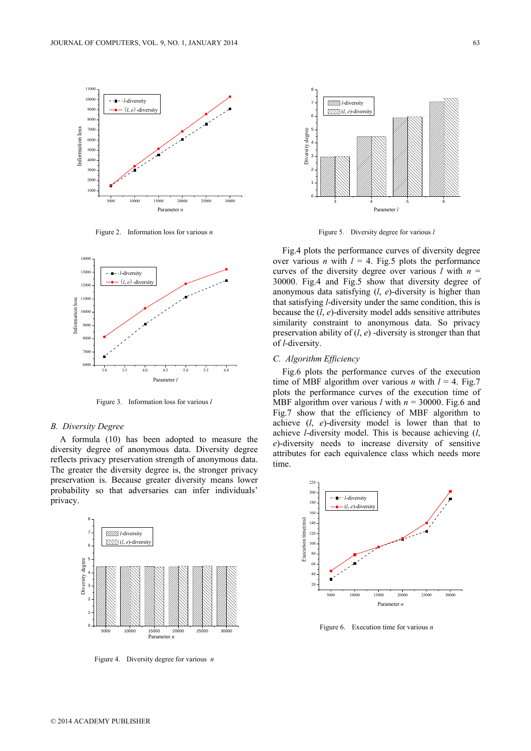

Figure 2. Information loss for various *n*



Figure 3. Information loss for various *l*

## *B. Diversity Degree*

A formula (10) has been adopted to measure the diversity degree of anonymous data. Diversity degree reflects privacy preservation strength of anonymous data. The greater the diversity degree is, the stronger privacy preservation is. Because greater diversity means lower probability so that adversaries can infer individuals' privacy.



Figure 4. Diversity degree for various *n*



Figure 5. Diversity degree for various *l*

Fig.4 plots the performance curves of diversity degree over various *n* with  $l = 4$ . Fig.5 plots the performance curves of the diversity degree over various  $l$  with  $n =$ 30000. Fig.4 and Fig.5 show that diversity degree of anonymous data satisfying (*l*, *e*)-diversity is higher than that satisfying *l*-diversity under the same condition, this is because the (*l*, *e*)-diversity model adds sensitive attributes similarity constraint to anonymous data. So privacy preservation ability of (*l*, *e*) -diversity is stronger than that of *l*-diversity.

# *C. Algorithm Efficiency*

Fig.6 plots the performance curves of the execution time of MBF algorithm over various *n* with  $l = 4$ . Fig.7 plots the performance curves of the execution time of MBF algorithm over various *l* with *n* = 30000. Fig.6 and Fig.7 show that the efficiency of MBF algorithm to achieve (*l*, *e*)-diversity model is lower than that to achieve *l*-diversity model. This is because achieving (*l*, *e*)-diversity needs to increase diversity of sensitive attributes for each equivalence class which needs more time.



Figure 6. Execution time for various *n*